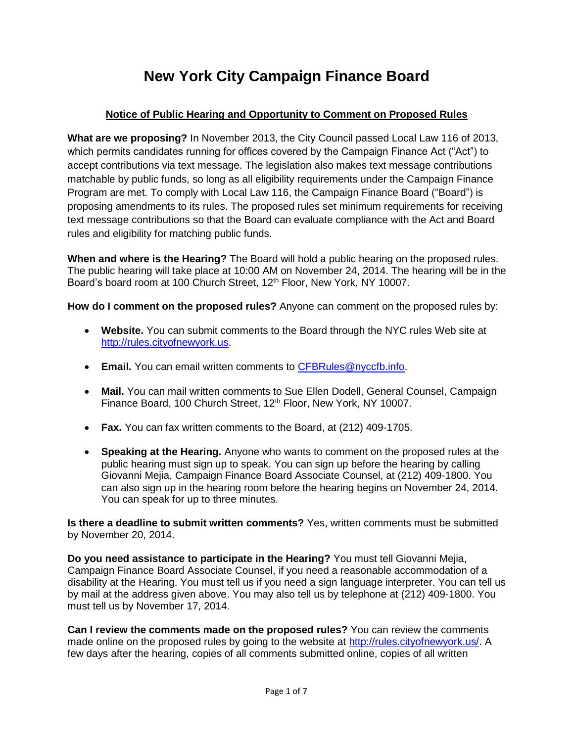# **New York City Campaign Finance Board**

# **Notice of Public Hearing and Opportunity to Comment on Proposed Rules**

**What are we proposing?** In November 2013, the City Council passed Local Law 116 of 2013, which permits candidates running for offices covered by the Campaign Finance Act ("Act") to accept contributions via text message. The legislation also makes text message contributions matchable by public funds, so long as all eligibility requirements under the Campaign Finance Program are met. To comply with Local Law 116, the Campaign Finance Board ("Board") is proposing amendments to its rules. The proposed rules set minimum requirements for receiving text message contributions so that the Board can evaluate compliance with the Act and Board rules and eligibility for matching public funds.

**When and where is the Hearing?** The Board will hold a public hearing on the proposed rules. The public hearing will take place at 10:00 AM on November 24, 2014. The hearing will be in the Board's board room at 100 Church Street, 12<sup>th</sup> Floor, New York, NY 10007.

**How do I comment on the proposed rules?** Anyone can comment on the proposed rules by:

- **Website.** You can submit comments to the Board through the NYC rules Web site at [http://rules.cityofnewyork.us.](http://rules.cityofnewyork.us/)
- **Email.** You can email written comments to [CFBRules@nyccfb.info.](mailto:CFBRules@nyccfb.info)
- **Mail.** You can mail written comments to Sue Ellen Dodell, General Counsel, Campaign Finance Board, 100 Church Street, 12<sup>th</sup> Floor, New York, NY 10007.
- **Fax.** You can fax written comments to the Board, at (212) 409-1705.
- **Speaking at the Hearing.** Anyone who wants to comment on the proposed rules at the public hearing must sign up to speak. You can sign up before the hearing by calling Giovanni Mejia, Campaign Finance Board Associate Counsel, at (212) 409-1800. You can also sign up in the hearing room before the hearing begins on November 24, 2014. You can speak for up to three minutes.

**Is there a deadline to submit written comments?** Yes, written comments must be submitted by November 20, 2014.

**Do you need assistance to participate in the Hearing?** You must tell Giovanni Mejia, Campaign Finance Board Associate Counsel, if you need a reasonable accommodation of a disability at the Hearing. You must tell us if you need a sign language interpreter. You can tell us by mail at the address given above. You may also tell us by telephone at (212) 409-1800. You must tell us by November 17, 2014.

**Can I review the comments made on the proposed rules?** You can review the comments made online on the proposed rules by going to the website at [http://rules.cityofnewyork.us/.](http://rules.cityofnewyork.us/) A few days after the hearing, copies of all comments submitted online, copies of all written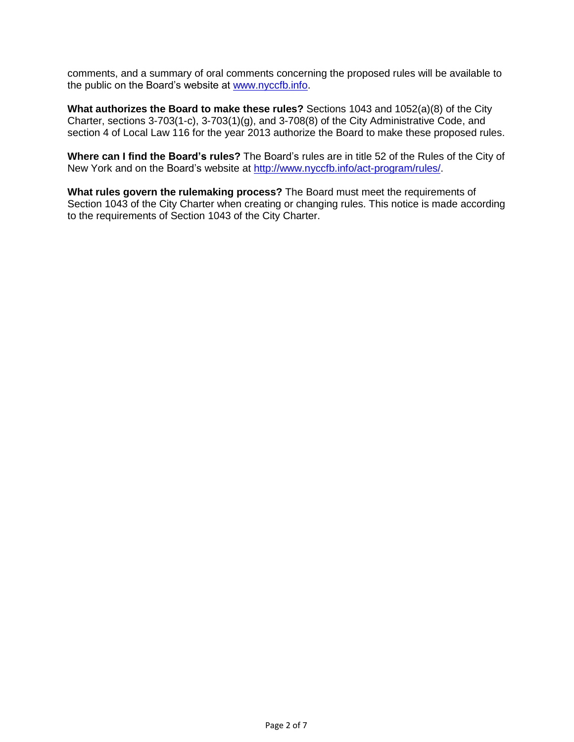comments, and a summary of oral comments concerning the proposed rules will be available to the public on the Board's website at [www.nyccfb.info.](http://www.nyccfb.info/)

**What authorizes the Board to make these rules?** Sections 1043 and 1052(a)(8) of the City Charter, sections 3-703(1-c), 3-703(1)(g), and 3-708(8) of the City Administrative Code, and section 4 of Local Law 116 for the year 2013 authorize the Board to make these proposed rules.

**Where can I find the Board's rules?** The Board's rules are in title 52 of the Rules of the City of New York and on the Board's website at [http://www.nyccfb.info/act-program/rules/.](http://www.nyccfb.info/act-program/rules/)

**What rules govern the rulemaking process?** The Board must meet the requirements of Section 1043 of the City Charter when creating or changing rules. This notice is made according to the requirements of Section 1043 of the City Charter.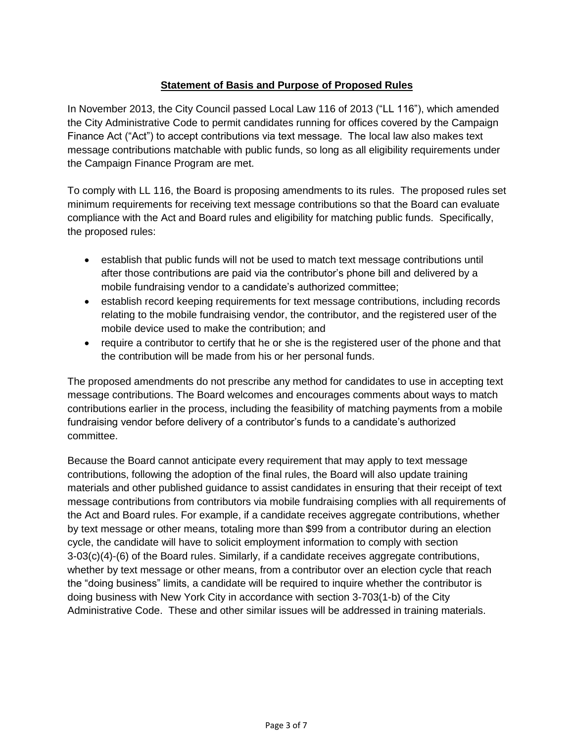# **Statement of Basis and Purpose of Proposed Rules**

In November 2013, the City Council passed Local Law 116 of 2013 ("LL 116"), which amended the City Administrative Code to permit candidates running for offices covered by the Campaign Finance Act ("Act") to accept contributions via text message. The local law also makes text message contributions matchable with public funds, so long as all eligibility requirements under the Campaign Finance Program are met.

To comply with LL 116, the Board is proposing amendments to its rules. The proposed rules set minimum requirements for receiving text message contributions so that the Board can evaluate compliance with the Act and Board rules and eligibility for matching public funds. Specifically, the proposed rules:

- establish that public funds will not be used to match text message contributions until after those contributions are paid via the contributor's phone bill and delivered by a mobile fundraising vendor to a candidate's authorized committee;
- establish record keeping requirements for text message contributions, including records relating to the mobile fundraising vendor, the contributor, and the registered user of the mobile device used to make the contribution; and
- require a contributor to certify that he or she is the registered user of the phone and that the contribution will be made from his or her personal funds.

The proposed amendments do not prescribe any method for candidates to use in accepting text message contributions. The Board welcomes and encourages comments about ways to match contributions earlier in the process, including the feasibility of matching payments from a mobile fundraising vendor before delivery of a contributor's funds to a candidate's authorized committee.

Because the Board cannot anticipate every requirement that may apply to text message contributions, following the adoption of the final rules, the Board will also update training materials and other published guidance to assist candidates in ensuring that their receipt of text message contributions from contributors via mobile fundraising complies with all requirements of the Act and Board rules. For example, if a candidate receives aggregate contributions, whether by text message or other means, totaling more than \$99 from a contributor during an election cycle, the candidate will have to solicit employment information to comply with section 3-03(c)(4)-(6) of the Board rules. Similarly, if a candidate receives aggregate contributions, whether by text message or other means, from a contributor over an election cycle that reach the "doing business" limits, a candidate will be required to inquire whether the contributor is doing business with New York City in accordance with section 3-703(1-b) of the City Administrative Code. These and other similar issues will be addressed in training materials.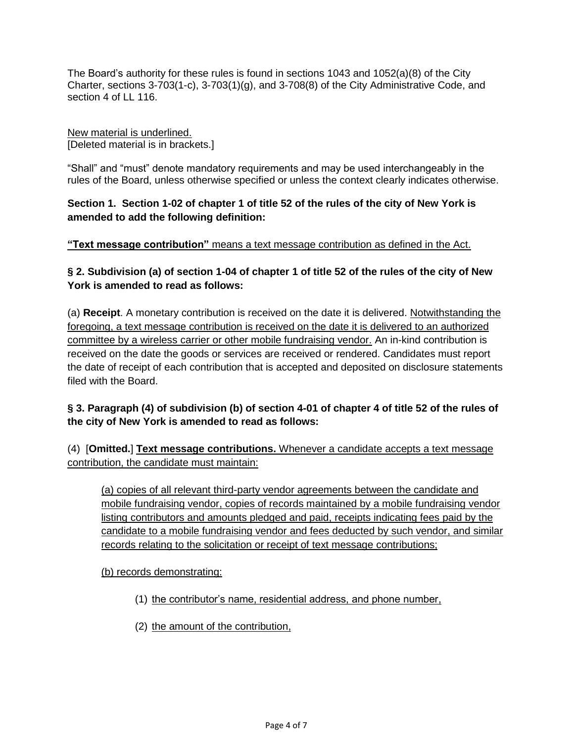The Board's authority for these rules is found in sections 1043 and 1052(a)(8) of the City Charter, sections 3-703(1-c), 3-703(1)(g), and 3-708(8) of the City Administrative Code, and section 4 of LL 116.

New material is underlined. [Deleted material is in brackets.]

"Shall" and "must" denote mandatory requirements and may be used interchangeably in the rules of the Board, unless otherwise specified or unless the context clearly indicates otherwise.

**Section 1. Section 1-02 of chapter 1 of title 52 of the rules of the city of New York is amended to add the following definition:**

**"Text message contribution"** means a text message contribution as defined in the Act.

**§ 2. Subdivision (a) of section 1-04 of chapter 1 of title 52 of the rules of the city of New York is amended to read as follows:**

(a) **Receipt**. A monetary contribution is received on the date it is delivered. Notwithstanding the foregoing, a text message contribution is received on the date it is delivered to an authorized committee by a wireless carrier or other mobile fundraising vendor. An in-kind contribution is received on the date the goods or services are received or rendered. Candidates must report the date of receipt of each contribution that is accepted and deposited on disclosure statements filed with the Board.

# **§ 3. Paragraph (4) of subdivision (b) of section 4-01 of chapter 4 of title 52 of the rules of the city of New York is amended to read as follows:**

(4) [**Omitted.**] **Text message contributions.** Whenever a candidate accepts a text message contribution, the candidate must maintain:

(a) copies of all relevant third-party vendor agreements between the candidate and mobile fundraising vendor, copies of records maintained by a mobile fundraising vendor listing contributors and amounts pledged and paid, receipts indicating fees paid by the candidate to a mobile fundraising vendor and fees deducted by such vendor, and similar records relating to the solicitation or receipt of text message contributions;

(b) records demonstrating:

- (1) the contributor's name, residential address, and phone number,
- (2) the amount of the contribution,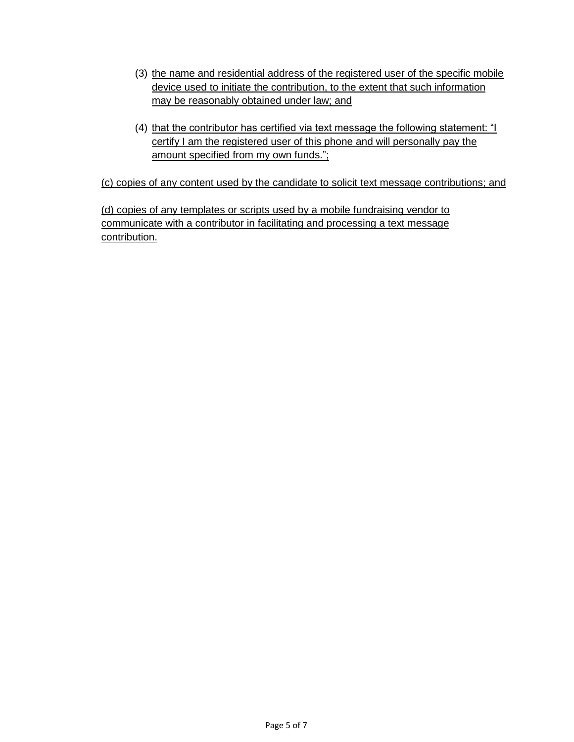- (3) the name and residential address of the registered user of the specific mobile device used to initiate the contribution, to the extent that such information may be reasonably obtained under law; and
- (4) that the contributor has certified via text message the following statement: "I certify I am the registered user of this phone and will personally pay the amount specified from my own funds.";

(c) copies of any content used by the candidate to solicit text message contributions; and

(d) copies of any templates or scripts used by a mobile fundraising vendor to communicate with a contributor in facilitating and processing a text message contribution.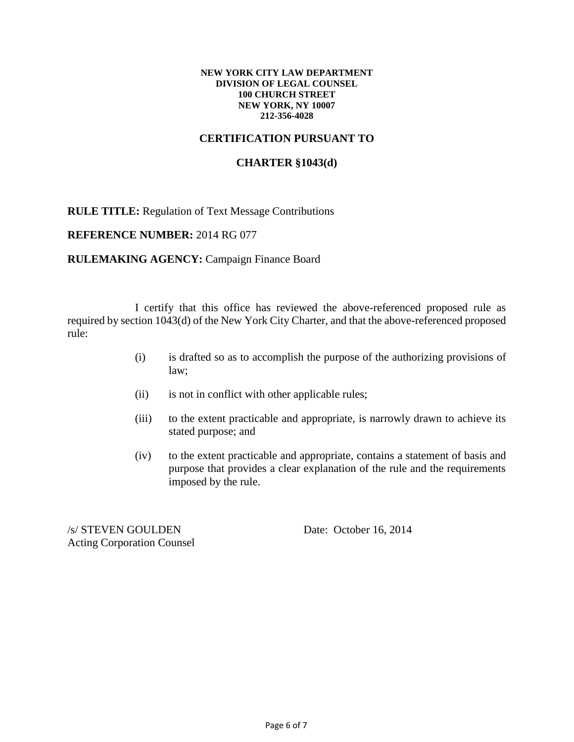#### **NEW YORK CITY LAW DEPARTMENT DIVISION OF LEGAL COUNSEL 100 CHURCH STREET NEW YORK, NY 10007 212-356-4028**

# **CERTIFICATION PURSUANT TO**

### **CHARTER §1043(d)**

**RULE TITLE:** Regulation of Text Message Contributions

#### **REFERENCE NUMBER:** 2014 RG 077

#### **RULEMAKING AGENCY: Campaign Finance Board**

I certify that this office has reviewed the above-referenced proposed rule as required by section 1043(d) of the New York City Charter, and that the above-referenced proposed rule:

- (i) is drafted so as to accomplish the purpose of the authorizing provisions of law;
- (ii) is not in conflict with other applicable rules;
- (iii) to the extent practicable and appropriate, is narrowly drawn to achieve its stated purpose; and
- (iv) to the extent practicable and appropriate, contains a statement of basis and purpose that provides a clear explanation of the rule and the requirements imposed by the rule.

/s/ STEVEN GOULDEN Date: October 16, 2014 Acting Corporation Counsel